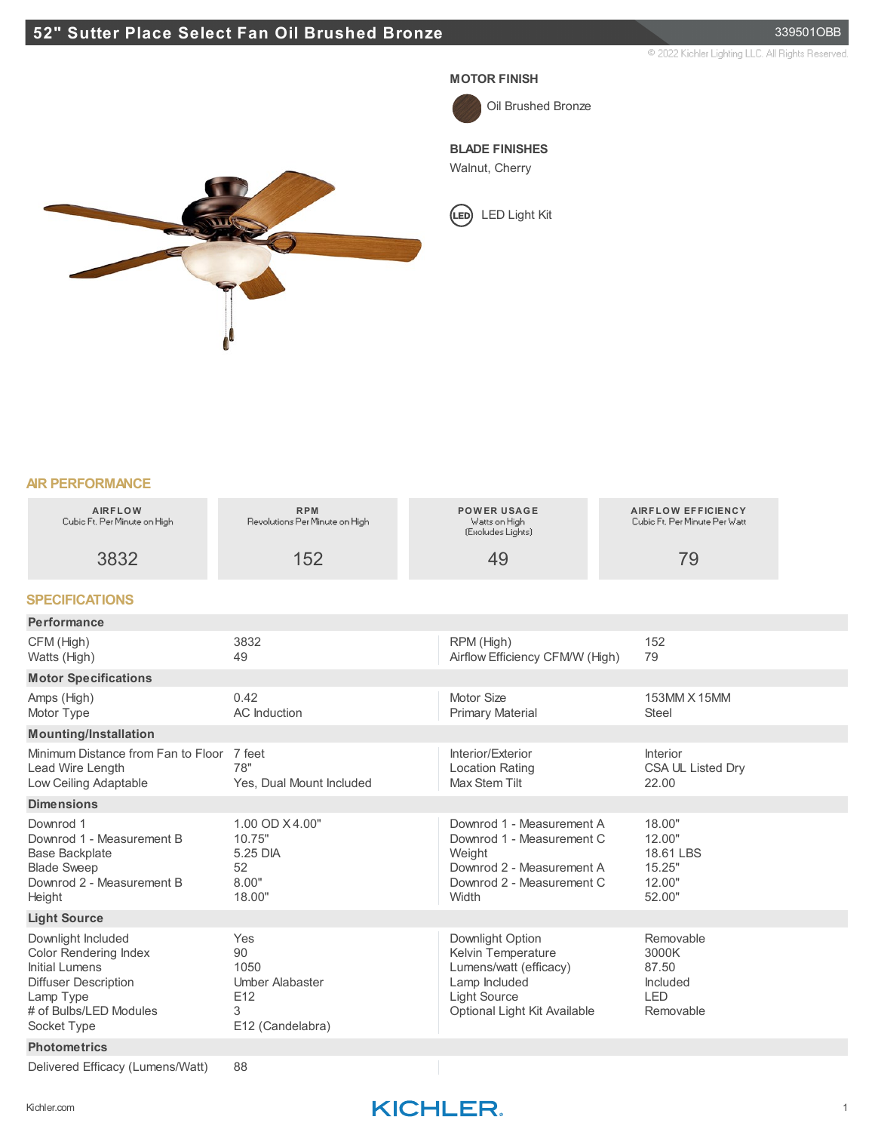## **52" Sutter Place Select Fan Oil Brushed Bronze** 339501OBB

@ 2022 Kichler Lighting LLC, All Rights Reserved.

#### **MOTOR FINISH**



Oil Brushed Bronze

### **BLADE FINISHES**

Walnut, Cherry

LED Light Kit



#### **AIR PERFORMANCE**

| <b>AIRFLOW</b><br>Cubio Ft. Per Minute on High                                                                                                                   | <b>RPM</b><br>Revolutions Per Minute on High                                | <b>POWER USAGE</b><br>Watts on High<br>(Excludes Lights)                                                                                 | <b>AIRFLOW EFFICIENCY</b><br>Cubio Ft. Per Minute Per Watt  |  |
|------------------------------------------------------------------------------------------------------------------------------------------------------------------|-----------------------------------------------------------------------------|------------------------------------------------------------------------------------------------------------------------------------------|-------------------------------------------------------------|--|
| 3832                                                                                                                                                             | 152                                                                         | 49                                                                                                                                       | 79                                                          |  |
| <b>SPECIFICATIONS</b>                                                                                                                                            |                                                                             |                                                                                                                                          |                                                             |  |
| Performance                                                                                                                                                      |                                                                             |                                                                                                                                          |                                                             |  |
| CFM (High)<br>Watts (High)                                                                                                                                       | 3832<br>49                                                                  | RPM (High)<br>Airflow Efficiency CFM/W (High)                                                                                            | 152<br>79                                                   |  |
| <b>Motor Specifications</b>                                                                                                                                      |                                                                             |                                                                                                                                          |                                                             |  |
| Amps (High)<br>Motor Type                                                                                                                                        | 0.42<br><b>AC</b> Induction                                                 | Motor Size<br><b>Primary Material</b>                                                                                                    | 153MM X 15MM<br>Steel                                       |  |
| <b>Mounting/Installation</b>                                                                                                                                     |                                                                             |                                                                                                                                          |                                                             |  |
| Minimum Distance from Fan to Floor<br>Lead Wire Length<br>Low Ceiling Adaptable                                                                                  | 7 feet<br>78"<br>Yes, Dual Mount Included                                   | Interior/Exterior<br><b>Location Rating</b><br><b>Max Stem Tilt</b>                                                                      | Interior<br>CSA UL Listed Dry<br>22.00                      |  |
| <b>Dimensions</b>                                                                                                                                                |                                                                             |                                                                                                                                          |                                                             |  |
| Downrod 1<br>Downrod 1 - Measurement B<br><b>Base Backplate</b><br><b>Blade Sweep</b><br>Downrod 2 - Measurement B<br>Height                                     | 1.00 OD X4.00"<br>10.75"<br>5.25 DIA<br>52<br>8.00"<br>18.00"               | Downrod 1 - Measurement A<br>Downrod 1 - Measurement C<br>Weight<br>Downrod 2 - Measurement A<br>Downrod 2 - Measurement C<br>Width      | 18.00"<br>12.00"<br>18.61 LBS<br>15.25"<br>12.00"<br>52.00" |  |
| <b>Light Source</b>                                                                                                                                              |                                                                             |                                                                                                                                          |                                                             |  |
| Downlight Included<br><b>Color Rendering Index</b><br><b>Initial Lumens</b><br><b>Diffuser Description</b><br>Lamp Type<br># of Bulbs/LED Modules<br>Socket Type | Yes<br>90<br>1050<br><b>Umber Alabaster</b><br>E12<br>3<br>E12 (Candelabra) | Downlight Option<br>Kelvin Temperature<br>Lumens/watt (efficacy)<br>Lamp Included<br><b>Light Source</b><br>Optional Light Kit Available | Removable<br>3000K<br>87.50<br>Included<br>LED<br>Removable |  |
| <b>Photometrics</b>                                                                                                                                              |                                                                             |                                                                                                                                          |                                                             |  |
| Delivered Efficacy (Lumens/Watt)                                                                                                                                 | 88                                                                          |                                                                                                                                          |                                                             |  |

## Kichler.com **KICHLER**